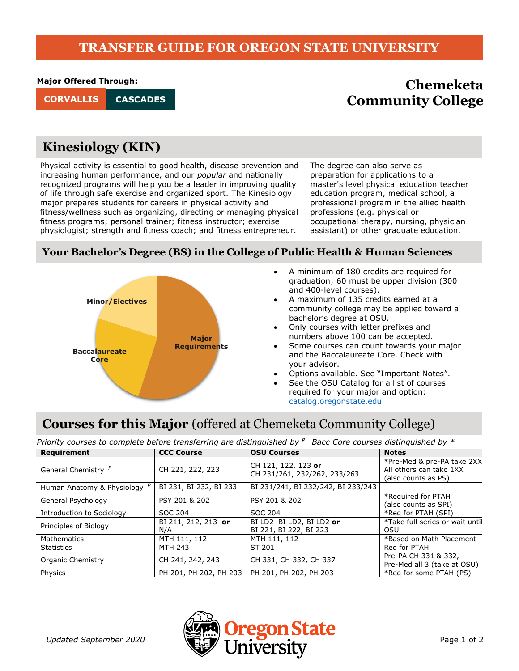### **TRANSFER GUIDE FOR OREGON STATE UNIVERSITY**

**Major Offered Through:**

**CASCADES**

# **Chemeketa CORVALLIS Community College**

# **Kinesiology (KIN)**

Physical activity is essential to good health, disease prevention and increasing human performance, and our *popular* and nationally recognized programs will help you be a leader in improving quality of life through safe exercise and organized sport. The Kinesiology major prepares students for careers in physical activity and fitness/wellness such as organizing, directing or managing physical fitness programs; personal trainer; fitness instructor; exercise physiologist; strength and fitness coach; and fitness entrepreneur.

The degree can also serve as preparation for applications to a master's level physical education teacher education program, medical school, a professional program in the allied health professions (e.g. physical or occupational therapy, nursing, physician assistant) or other graduate education.

#### **Your Bachelor's Degree (BS) in the College of Public Health & Human Sciences**



- A minimum of 180 credits are required for graduation; 60 must be upper division (300 and 400-level courses).
- A maximum of 135 credits earned at a community college may be applied toward a bachelor's degree at OSU.
- Only courses with letter prefixes and numbers above 100 can be accepted.
- Some courses can count towards your major and the Baccalaureate Core. Check with your advisor.
- Options available. See "Important Notes".
- See the OSU Catalog for a list of courses required for your major and option: [catalog.oregonstate.edu](http://catalog.oregonstate.edu/)

# **Courses for this Major** (offered at Chemeketa Community College)

| Priority courses to complete before transferring are distinguished by $P$ Bacc Core courses distinguished by $*$ |                            |                                                     |                                                                              |  |
|------------------------------------------------------------------------------------------------------------------|----------------------------|-----------------------------------------------------|------------------------------------------------------------------------------|--|
| Requirement                                                                                                      | <b>CCC Course</b>          | <b>OSU Courses</b>                                  | <b>Notes</b>                                                                 |  |
| General Chemistry <sup>P</sup>                                                                                   | CH 221, 222, 223           | CH 121, 122, 123 or<br>CH 231/261, 232/262, 233/263 | *Pre-Med & pre-PA take 2XX<br>All others can take 1XX<br>(also counts as PS) |  |
| Human Anatomy & Physiology <sup>/</sup>                                                                          | BI 231, BI 232, BI 233     | BI 231/241, BI 232/242, BI 233/243                  |                                                                              |  |
| General Psychology                                                                                               | PSY 201 & 202              | PSY 201 & 202                                       | *Required for PTAH<br>(also counts as SPI)                                   |  |
| Introduction to Sociology                                                                                        | SOC 204                    | SOC 204                                             | *Reg for PTAH (SPI)                                                          |  |
| Principles of Biology                                                                                            | BI 211, 212, 213 or<br>N/A | BI LD2 BI LD2, BI LD2 or<br>BI 221, BI 222, BI 223  | *Take full series or wait until<br>OSU                                       |  |
| Mathematics                                                                                                      | MTH 111, 112               | MTH 111, 112                                        | *Based on Math Placement                                                     |  |
| Statistics                                                                                                       | <b>MTH 243</b>             | ST 201                                              | Reg for PTAH                                                                 |  |
| Organic Chemistry                                                                                                | CH 241, 242, 243           | CH 331, CH 332, CH 337                              | Pre-PA CH 331 & 332,<br>Pre-Med all 3 (take at OSU)                          |  |
| Physics                                                                                                          | PH 201, PH 202, PH 203     | PH 201, PH 202, PH 203                              | *Reg for some PTAH (PS)                                                      |  |